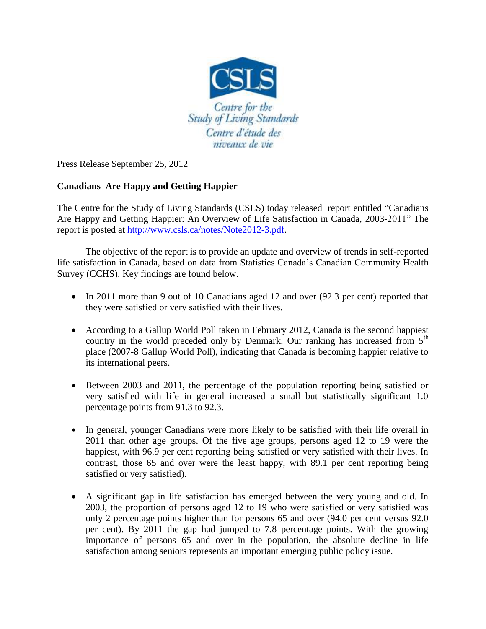

Press Release September 25, 2012

## **Canadians Are Happy and Getting Happier**

The Centre for the Study of Living Standards (CSLS) today released report entitled "Canadians Are Happy and Getting Happier: An Overview of Life Satisfaction in Canada, 2003-2011" The report is posted at http://www.csls.ca/notes/Note2012-3.pdf.

The objective of the report is to provide an update and overview of trends in self-reported life satisfaction in Canada, based on data from Statistics Canada's Canadian Community Health Survey (CCHS). Key findings are found below.

- In 2011 more than 9 out of 10 Canadians aged 12 and over (92.3 per cent) reported that they were satisfied or very satisfied with their lives.
- According to a Gallup World Poll taken in February 2012, Canada is the second happiest country in the world preceded only by Denmark. Our ranking has increased from  $5<sup>th</sup>$ place (2007-8 Gallup World Poll), indicating that Canada is becoming happier relative to its international peers.
- Between 2003 and 2011, the percentage of the population reporting being satisfied or very satisfied with life in general increased a small but statistically significant 1.0 percentage points from 91.3 to 92.3.
- In general, younger Canadians were more likely to be satisfied with their life overall in 2011 than other age groups. Of the five age groups, persons aged 12 to 19 were the happiest, with 96.9 per cent reporting being satisfied or very satisfied with their lives. In contrast, those 65 and over were the least happy, with 89.1 per cent reporting being satisfied or very satisfied).
- A significant gap in life satisfaction has emerged between the very young and old. In 2003, the proportion of persons aged 12 to 19 who were satisfied or very satisfied was only 2 percentage points higher than for persons 65 and over (94.0 per cent versus 92.0 per cent). By 2011 the gap had jumped to 7.8 percentage points. With the growing importance of persons 65 and over in the population, the absolute decline in life satisfaction among seniors represents an important emerging public policy issue.